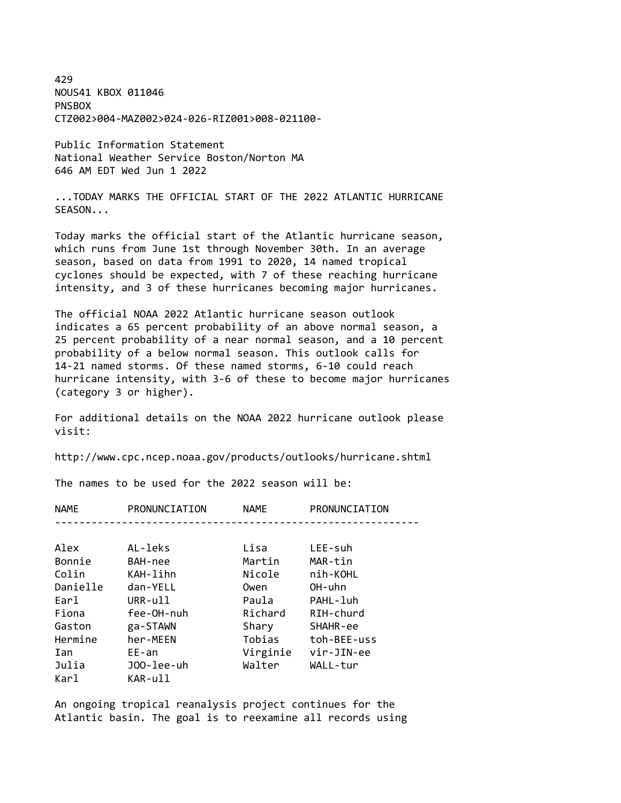429 NOUS41 KBOX 011046 **PNSBOX** CTZ002>004-MAZ002>024-026-RIZ001>008-021100-

Public Information Statement National Weather Service Boston/Norton MA 646 AM EDT Wed Jun 1 2022

... TODAY MARKS THE OFFICIAL START OF THE 2022 ATLANTIC HURRICANE SEASON...

Today marks the official start of the Atlantic hurricane season, which runs from June 1st through November 30th. In an average season, based on data from 1991 to 2020, 14 named tropical cyclones should be expected, with 7 of these reaching hurricane intensity, and 3 of these hurricanes becoming major hurricanes.

The official NOAA 2022 Atlantic hurricane season outlook indicates a 65 percent probability of an above normal season, a 25 percent probability of a near normal season, and a 10 percent probability of a below normal season. This outlook calls for 14-21 named storms. Of these named storms, 6-10 could reach hurricane intensity, with 3-6 of these to become major hurricanes (category 3 or higher).

For additional details on the NOAA 2022 hurricane outlook please visit:

http://www.cpc.ncep.noaa.gov/products/outlooks/hurricane.shtml

The names to be used for the 2022 season will be:

| <b>NAME</b> | PRONUNCIATION | <b>NAME</b> | PRONUNCIATION |
|-------------|---------------|-------------|---------------|
|             |               |             |               |

| Alex     | AL-leks    | Lisa     | LEE-suh     |
|----------|------------|----------|-------------|
| Bonnie   | BAH-nee    | Martin   | MAR-tin     |
| Colin    | KAH-lihn   | Nicole   | nih-KOHL    |
| Danielle | dan-YELL   | Owen     | OH-uhn      |
| Earl     | URR-ull    | Paula    | PAHL-luh    |
| Fiona    | fee-OH-nuh | Richard  | RIH-churd   |
| Gaston   | ga-STAWN   | Shary    | SHAHR-ee    |
| Hermine  | her-MEEN   | Tobias   | toh-BEE-uss |
| Ian      | $EE$ -an   | Virginie | vir-JIN-ee  |
| Julia    | J00-lee-uh | Walter   | WALL-tur    |
| Karl     | KAR-ull    |          |             |

An ongoing tropical reanalysis project continues for the Atlantic basin. The goal is to reexamine all records using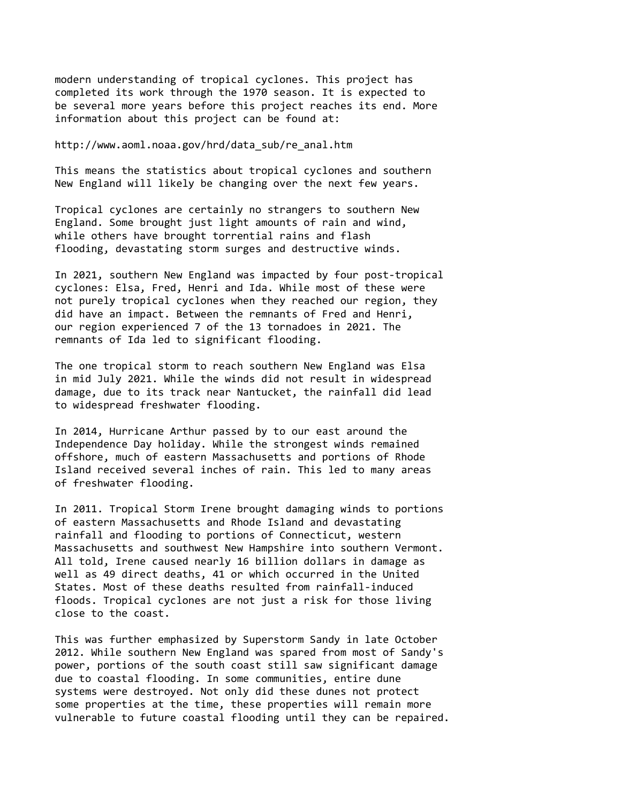modern understanding of tropical cyclones. This project has completed its work through the 1970 season. It is expected to be several more years before this project reaches its end. More information about this project can be found at:

http://www.aoml.noaa.gov/hrd/data\_sub/re\_anal.htm

This means the statistics about tropical cyclones and southern New England will likely be changing over the next few years.

Tropical cyclones are certainly no strangers to southern New England. Some brought just light amounts of rain and wind, while others have brought torrential rains and flash flooding, devastating storm surges and destructive winds.

In 2021, southern New England was impacted by four post-tropical cyclones: Elsa, Fred, Henri and Ida. While most of these were not purely tropical cyclones when they reached our region, they did have an impact. Between the remnants of Fred and Henri, our region experienced 7 of the 13 tornadoes in 2021. The remnants of Ida led to significant flooding.

The one tropical storm to reach southern New England was Elsa in mid July 2021. While the winds did not result in widespread damage, due to its track near Nantucket, the rainfall did lead to widespread freshwater flooding.

In 2014, Hurricane Arthur passed by to our east around the Independence Day holiday. While the strongest winds remained offshore, much of eastern Massachusetts and portions of Rhode Island received several inches of rain. This led to many areas of freshwater flooding.

In 2011. Tropical Storm Irene brought damaging winds to portions of eastern Massachusetts and Rhode Island and devastating rainfall and flooding to portions of Connecticut, western Massachusetts and southwest New Hampshire into southern Vermont. All told, Irene caused nearly 16 billion dollars in damage as well as 49 direct deaths, 41 or which occurred in the United States. Most of these deaths resulted from rainfall-induced floods. Tropical cyclones are not just a risk for those living close to the coast.

This was further emphasized by Superstorm Sandy in late October 2012. While southern New England was spared from most of Sandy's power, portions of the south coast still saw significant damage due to coastal flooding. In some communities, entire dune systems were destroyed. Not only did these dunes not protect some properties at the time, these properties will remain more vulnerable to future coastal flooding until they can be repaired.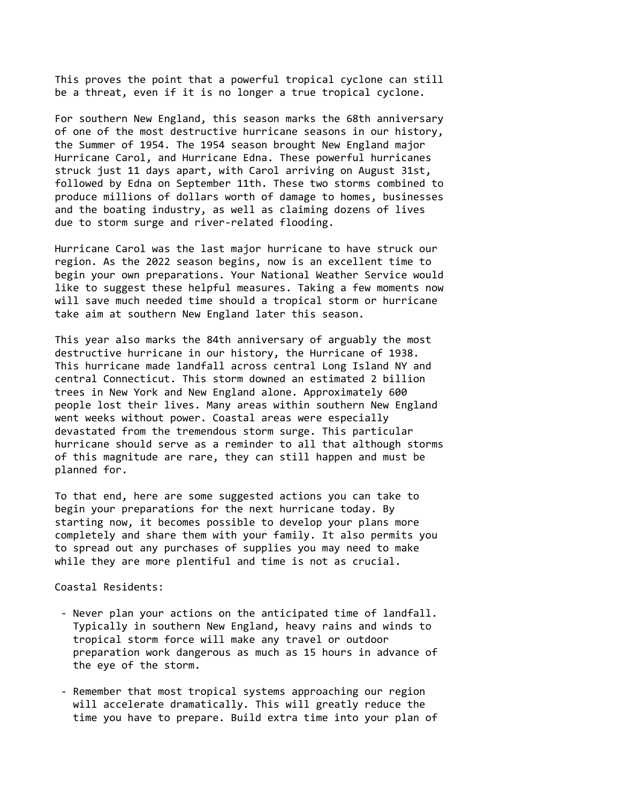This proves the point that a powerful tropical cyclone can still be a threat, even if it is no longer a true tropical cyclone.

For southern New England, this season marks the 68th anniversary of one of the most destructive hurricane seasons in our history, the Summer of 1954. The 1954 season brought New England major Hurricane Carol, and Hurricane Edna. These powerful hurricanes struck just 11 days apart, with Carol arriving on August 31st, followed by Edna on September 11th. These two storms combined to produce millions of dollars worth of damage to homes, businesses and the boating industry, as well as claiming dozens of lives due to storm surge and river-related flooding.

Hurricane Carol was the last major hurricane to have struck our region. As the 2022 season begins, now is an excellent time to begin your own preparations. Your National Weather Service would like to suggest these helpful measures. Taking a few moments now will save much needed time should a tropical storm or hurricane take aim at southern New England later this season.

This year also marks the 84th anniversary of arguably the most destructive hurricane in our history, the Hurricane of 1938. This hurricane made landfall across central Long Island NY and central Connecticut. This storm downed an estimated 2 billion trees in New York and New England alone. Approximately 600 people lost their lives. Many areas within southern New England went weeks without power. Coastal areas were especially devastated from the tremendous storm surge. This particular hurricane should serve as a reminder to all that although storms of this magnitude are rare, they can still happen and must be planned for.

To that end, here are some suggested actions you can take to begin your preparations for the next hurricane today. By starting now, it becomes possible to develop your plans more completely and share them with your family. It also permits you to spread out any purchases of supplies you may need to make while they are more plentiful and time is not as crucial.

Coastal Residents:

- Never plan your actions on the anticipated time of landfall. Typically in southern New England, heavy rains and winds to tropical storm force will make any travel or outdoor preparation work dangerous as much as 15 hours in advance of the eye of the storm.
- Remember that most tropical systems approaching our region will accelerate dramatically. This will greatly reduce the time you have to prepare. Build extra time into your plan of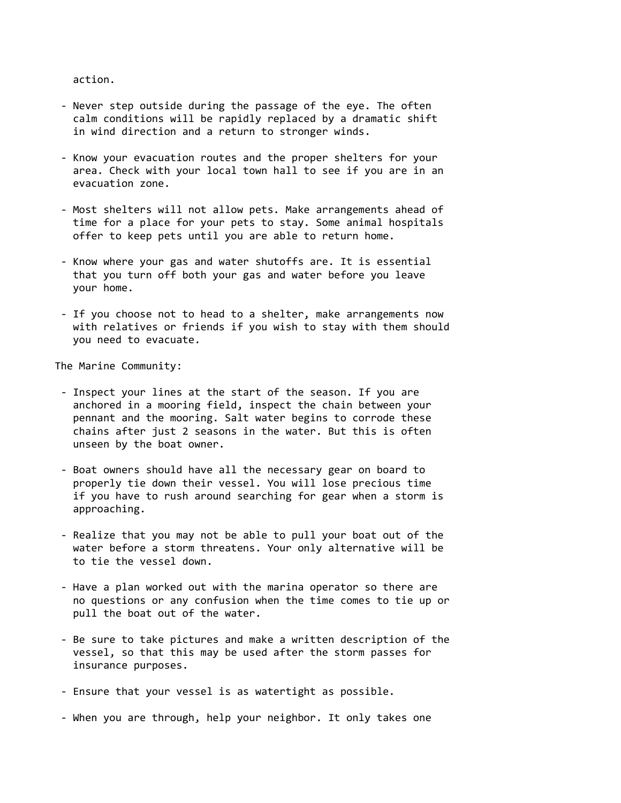action.

- Never step outside during the passage of the eye. The often calm conditions will be rapidly replaced by a dramatic shift in wind direction and a return to stronger winds.
- Know your evacuation routes and the proper shelters for your area. Check with your local town hall to see if you are in an evacuation zone.
- Most shelters will not allow pets. Make arrangements ahead of time for a place for your pets to stay. Some animal hospitals offer to keep pets until you are able to return home.
- Know where your gas and water shutoffs are. It is essential that you turn off both your gas and water before you leave your home.
- If you choose not to head to a shelter, make arrangements now with relatives or friends if you wish to stay with them should you need to evacuate.

The Marine Community:

- Inspect your lines at the start of the season. If you are anchored in a mooring field, inspect the chain between your pennant and the mooring. Salt water begins to corrode these chains after just 2 seasons in the water. But this is often unseen by the boat owner.
- Boat owners should have all the necessary gear on board to properly tie down their vessel. You will lose precious time if you have to rush around searching for gear when a storm is approaching.
- Realize that you may not be able to pull your boat out of the water before a storm threatens. Your only alternative will be to tie the vessel down.
- Have a plan worked out with the marina operator so there are no questions or any confusion when the time comes to tie up or pull the boat out of the water.
- Be sure to take pictures and make a written description of the vessel, so that this may be used after the storm passes for insurance purposes.
- Ensure that your vessel is as watertight as possible.
- When you are through, help your neighbor. It only takes one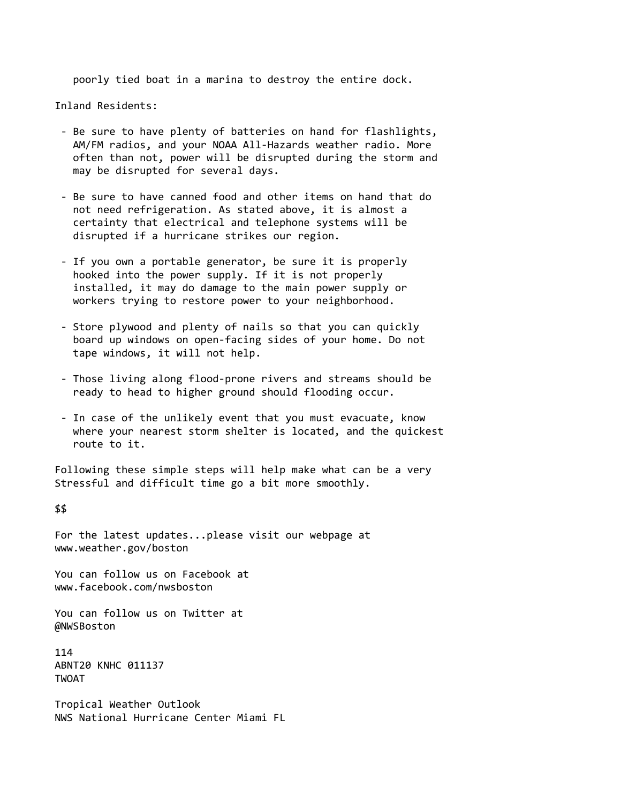poorly tied boat in a marina to destroy the entire dock.

Inland Residents:

- Be sure to have plenty of batteries on hand for flashlights, AM/FM radios, and your NOAA All-Hazards weather radio. More often than not, power will be disrupted during the storm and may be disrupted for several days.
- Be sure to have canned food and other items on hand that do not need refrigeration. As stated above, it is almost a certainty that electrical and telephone systems will be disrupted if a hurricane strikes our region.
- If you own a portable generator, be sure it is properly hooked into the power supply. If it is not properly installed, it may do damage to the main power supply or workers trying to restore power to your neighborhood.
- Store plywood and plenty of nails so that you can quickly board up windows on open-facing sides of your home. Do not tape windows, it will not help.
- Those living along flood-prone rivers and streams should be ready to head to higher ground should flooding occur.
- In case of the unlikely event that you must evacuate, know where your nearest storm shelter is located, and the quickest route to it.

Following these simple steps will help make what can be a very Stressful and difficult time go a bit more smoothly.

\$\$

For the latest updates...please visit our webpage at www.weather.gov/boston

You can follow us on Facebook at www.facebook.com/nwsboston

You can follow us on Twitter at @NWSBoston

114 ABNT20 KNHC 011137 TWOAT

Tropical Weather Outlook NWS National Hurricane Center Miami FL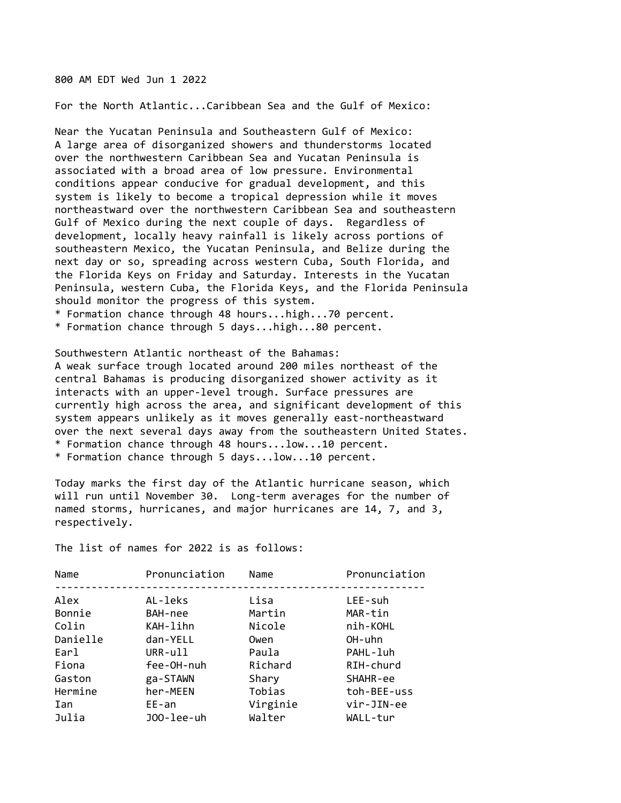800 AM EDT Wed Jun 1 2022

For the North Atlantic...Caribbean Sea and the Gulf of Mexico:

Near the Yucatan Peninsula and Southeastern Gulf of Mexico: A large area of disorganized showers and thunderstorms located over the northwestern Caribbean Sea and Yucatan Peninsula is associated with a broad area of low pressure. Environmental conditions appear conducive for gradual development, and this system is likely to become a tropical depression while it moves northeastward over the northwestern Caribbean Sea and southeastern Gulf of Mexico during the next couple of days. Regardless of development, locally heavy rainfall is likely across portions of southeastern Mexico, the Yucatan Peninsula, and Belize during the next day or so, spreading across western Cuba, South Florida, and the Florida Keys on Friday and Saturday. Interests in the Yucatan Peninsula, western Cuba, the Florida Keys, and the Florida Peninsula should monitor the progress of this system.

\* Formation chance through 48 hours...high...70 percent.

\* Formation chance through 5 days...high...80 percent.

Southwestern Atlantic northeast of the Bahamas: A weak surface trough located around 200 miles northeast of the central Bahamas is producing disorganized shower activity as it interacts with an upper-level trough. Surface pressures are currently high across the area, and significant development of this system appears unlikely as it moves generally east-northeastward over the next several days away from the southeastern United States. \* Formation chance through 48 hours...low...10 percent. \* Formation chance through 5 days...low...10 percent.

Today marks the first day of the Atlantic hurricane season, which will run until November 30. Long-term averages for the number of named storms, hurricanes, and major hurricanes are 14, 7, and 3, respectively.

The list of names for 2022 is as follows:

| Pronunciation<br>Name<br>Name          | Pronunciation |
|----------------------------------------|---------------|
| Alex<br>AL-leks<br>Lisa<br>LEE-suh     |               |
| Martin<br>Bonnie<br>MAR-tin<br>BAH-nee |               |
| Colin<br>KAH-lihn<br>Nicole            | nih-KOHL      |
| Danielle<br>OH-uhn<br>dan-YELL<br>Owen |               |
| Earl<br>$URR-u11$<br>Paula             | PAHL-luh      |
| Fiona<br>fee-OH-nuh<br>Richard         | RIH-churd     |
| ga-STAWN<br>Shary<br>Gaston            | SHAHR-ee      |
| Tobias<br>Hermine<br>her-MEEN          | toh-BEE-uss   |
| Virginie<br>$EE$ -an<br>Ian            | vir-JIN-ee    |
| Julia<br>JOO-lee-uh<br>Walter          | WALL-tur      |